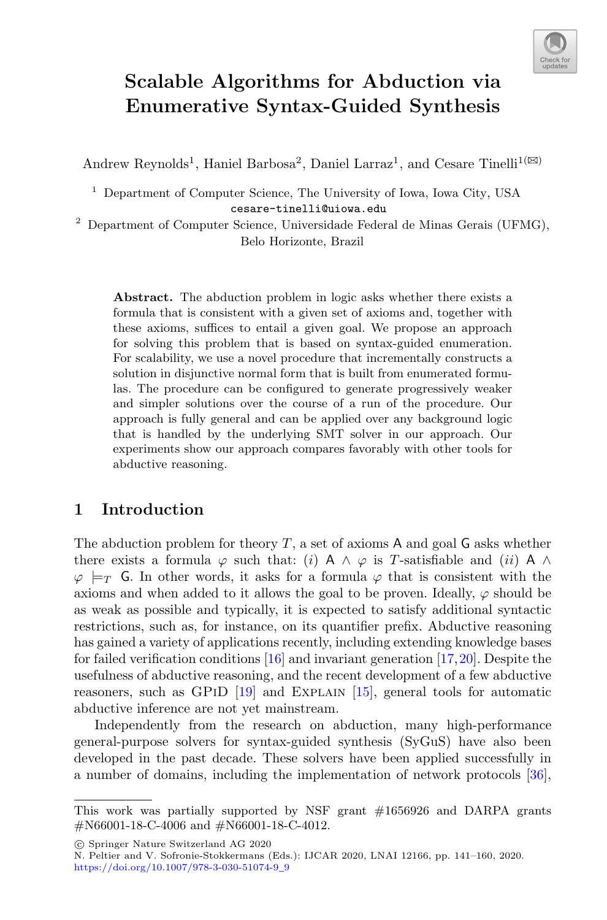

# **Scalable Algorithms for Abduction via Enumerative Syntax-Guided Synthesis**

Andrew Reynolds<sup>1</sup>, Haniel Barbosa<sup>2</sup>, Daniel Larraz<sup>1</sup>, and Cesare Tinelli<sup>1( $\boxtimes$ )</sup>

<sup>1</sup> Department of Computer Science, The University of Iowa, Iowa City, USA cesare-tinelli@uiowa.edu

<sup>2</sup> Department of Computer Science, Universidade Federal de Minas Gerais (UFMG), Belo Horizonte, Brazil

**Abstract.** The abduction problem in logic asks whether there exists a formula that is consistent with a given set of axioms and, together with these axioms, suffices to entail a given goal. We propose an approach for solving this problem that is based on syntax-guided enumeration. For scalability, we use a novel procedure that incrementally constructs a solution in disjunctive normal form that is built from enumerated formulas. The procedure can be configured to generate progressively weaker and simpler solutions over the course of a run of the procedure. Our approach is fully general and can be applied over any background logic that is handled by the underlying SMT solver in our approach. Our experiments show our approach compares favorably with other tools for abductive reasoning.

# **1 Introduction**

The abduction problem for theory  $T$ , a set of axioms A and goal G asks whether there exists a formula  $\varphi$  such that: (i) A  $\wedge \varphi$  is T-satisfiable and (ii) A  $\wedge$  $\varphi \models_T \mathsf{G}$ . In other words, it asks for a formula  $\varphi$  that is consistent with the axioms and when added to it allows the goal to be proven. Ideally,  $\varphi$  should be as weak as possible and typically, it is expected to satisfy additional syntactic restrictions, such as, for instance, on its quantifier prefix. Abductive reasoning has gained a variety of applications recently, including extending knowledge bases for failed verification conditions [\[16\]](#page-18-0) and invariant generation [\[17,](#page-18-1)[20\]](#page-18-2). Despite the usefulness of abductive reasoning, and the recent development of a few abductive reasoners, such as GPID [\[19\]](#page-18-3) and EXPLAIN [\[15\]](#page-18-4), general tools for automatic abductive inference are not yet mainstream.

Independently from the research on abduction, many high-performance general-purpose solvers for syntax-guided synthesis (SyGuS) have also been developed in the past decade. These solvers have been applied successfully in a number of domains, including the implementation of network protocols [\[36\]](#page-19-0),

This work was partially supported by NSF grant #1656926 and DARPA grants #N66001-18-C-4006 and #N66001-18-C-4012.

<sup>-</sup>c Springer Nature Switzerland AG 2020

N. Peltier and V. Sofronie-Stokkermans (Eds.): IJCAR 2020, LNAI 12166, pp. 141–160, 2020. [https://doi.org/10.1007/978-3-030-51074-9](https://doi.org/10.1007/978-3-030-51074-9_9)\_9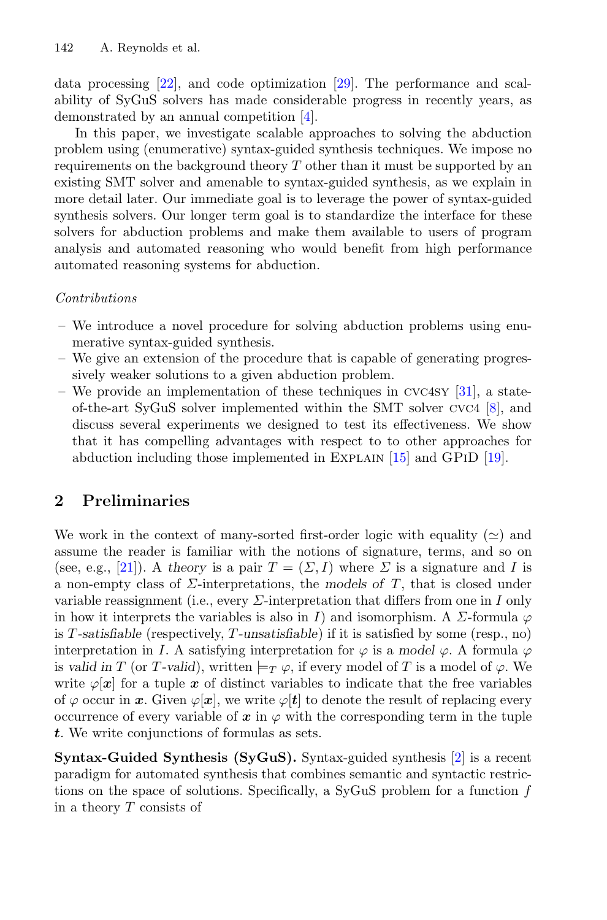data processing [\[22\]](#page-18-5), and code optimization [\[29\]](#page-19-1). The performance and scalability of SyGuS solvers has made considerable progress in recently years, as demonstrated by an annual competition [\[4\]](#page-17-0).

In this paper, we investigate scalable approaches to solving the abduction problem using (enumerative) syntax-guided synthesis techniques. We impose no requirements on the background theory  $T$  other than it must be supported by an existing SMT solver and amenable to syntax-guided synthesis, as we explain in more detail later. Our immediate goal is to leverage the power of syntax-guided synthesis solvers. Our longer term goal is to standardize the interface for these solvers for abduction problems and make them available to users of program analysis and automated reasoning who would benefit from high performance automated reasoning systems for abduction.

### *Contributions*

- We introduce a novel procedure for solving abduction problems using enumerative syntax-guided synthesis.
- We give an extension of the procedure that is capable of generating progressively weaker solutions to a given abduction problem.
- We provide an implementation of these techniques in  $\text{cyc4sy}$  [\[31](#page-19-2)], a stateof-the-art SyGuS solver implemented within the SMT solver cvc4 [\[8](#page-17-1)], and discuss several experiments we designed to test its effectiveness. We show that it has compelling advantages with respect to to other approaches for abduction including those implemented in EXPLAIN  $[15]$  $[15]$  and GPID  $[19]$  $[19]$ .

# **2 Preliminaries**

We work in the context of many-sorted first-order logic with equality  $(\simeq)$  and assume the reader is familiar with the notions of signature, terms, and so on (see, e.g., [\[21\]](#page-18-6)). A *theory* is a pair  $T = (\Sigma, I)$  where  $\Sigma$  is a signature and I is a non-empty class of Σ-interpretations, the *models of* T, that is closed under variable reassignment (i.e., every  $\Sigma$ -interpretation that differs from one in I only in how it interprets the variables is also in I) and isomorphism. A  $\Sigma$ -formula  $\varphi$ is T*-satisfiable* (respectively, T*-unsatisfiable*) if it is satisfied by some (resp., no) interpretation in I. A satisfying interpretation for  $\varphi$  is a *model*  $\varphi$ . A formula  $\varphi$ is *valid in* T (or T-valid), written  $\models_T \varphi$ , if every model of T is a model of  $\varphi$ . We write  $\varphi[x]$  for a tuple x of distinct variables to indicate that the free variables of  $\varphi$  occur in *x*. Given  $\varphi$ [*x*], we write  $\varphi$ [*t*] to denote the result of replacing every occurrence of every variable of  $x$  in  $\varphi$  with the corresponding term in the tuple *t*. We write conjunctions of formulas as sets.

**Syntax-Guided Synthesis (SyGuS).** Syntax-guided synthesis [\[2](#page-17-2)] is a recent paradigm for automated synthesis that combines semantic and syntactic restrictions on the space of solutions. Specifically, a SyGuS problem for a function  $f$ in a theory  $T$  consists of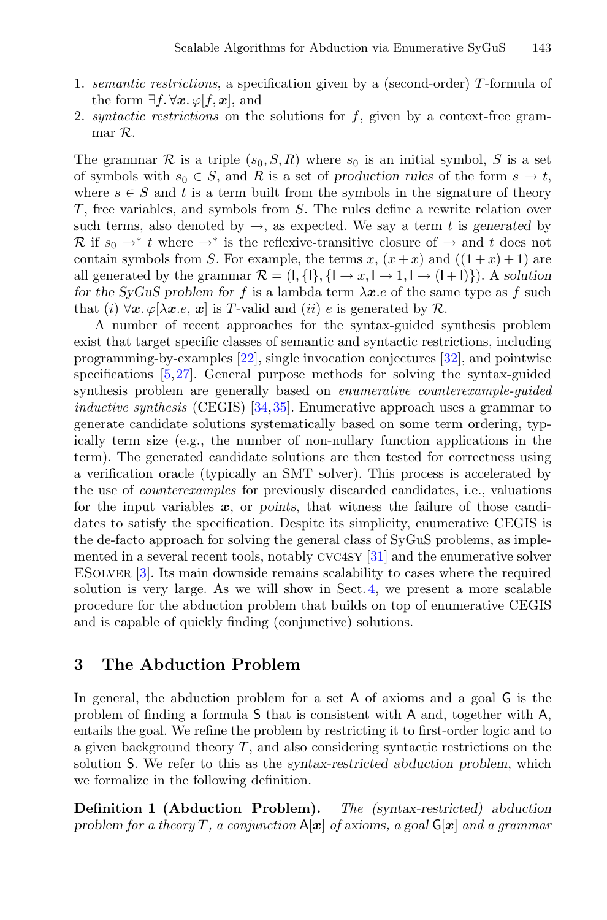- 1. *semantic restrictions*, a specification given by a (second-order) T-formula of the form  $\exists f. \forall x. \varphi[f, x]$ , and
- 2. *syntactic restrictions* on the solutions for f, given by a context-free grammar R.

The grammar  $\mathcal R$  is a triple  $(s_0, S, R)$  where  $s_0$  is an initial symbol, S is a set of symbols with  $s_0 \in S$ , and R is a set of *production rules* of the form  $s \to t$ , where  $s \in S$  and t is a term built from the symbols in the signature of theory T, free variables, and symbols from S. The rules define a rewrite relation over such terms, also denoted by  $\rightarrow$ , as expected. We say a term t is *generated* by R if  $s_0 \rightarrow^* t$  where  $\rightarrow^*$  is the reflexive-transitive closure of  $\rightarrow$  and t does not contain symbols from S. For example, the terms x,  $(x + x)$  and  $((1 + x) + 1)$  are all generated by the grammar  $\mathcal{R} = (I, \{I\}, \{I \rightarrow x, I \rightarrow 1, I \rightarrow (I + I)\})$ . A *solution for the SyGuS problem for* f is a lambda term  $\lambda x.e$  of the same type as f such that (i)  $\forall x.\varphi[\lambda x.e, x]$  is T-valid and (ii) e is generated by R.

A number of recent approaches for the syntax-guided synthesis problem exist that target specific classes of semantic and syntactic restrictions, including programming-by-examples [\[22](#page-18-5)], single invocation conjectures [\[32](#page-19-3)], and pointwise specifications [\[5](#page-17-3)[,27](#page-19-4)]. General purpose methods for solving the syntax-guided synthesis problem are generally based on *enumerative counterexample-guided inductive synthesis* (CEGIS) [\[34](#page-19-5),[35\]](#page-19-6). Enumerative approach uses a grammar to generate candidate solutions systematically based on some term ordering, typically term size (e.g., the number of non-nullary function applications in the term). The generated candidate solutions are then tested for correctness using a verification oracle (typically an SMT solver). This process is accelerated by the use of *counterexamples* for previously discarded candidates, i.e., valuations for the input variables *x*, or *points*, that witness the failure of those candidates to satisfy the specification. Despite its simplicity, enumerative CEGIS is the de-facto approach for solving the general class of SyGuS problems, as implemented in a several recent tools, notably cvc4sy [\[31](#page-19-2)] and the enumerative solver ESolver [\[3](#page-17-4)]. Its main downside remains scalability to cases where the required solution is very large. As we will show in Sect. [4,](#page-3-0) we present a more scalable procedure for the abduction problem that builds on top of enumerative CEGIS and is capable of quickly finding (conjunctive) solutions.

### <span id="page-2-1"></span>**3 The Abduction Problem**

In general, the abduction problem for a set A of axioms and a goal G is the problem of finding a formula S that is consistent with A and, together with A, entails the goal. We refine the problem by restricting it to first-order logic and to a given background theory T, and also considering syntactic restrictions on the solution S. We refer to this as the *syntax-restricted abduction problem*, which we formalize in the following definition.

<span id="page-2-0"></span>**Definition 1 (Abduction Problem).** *The (syntax-restricted) abduction problem for a theory* T*, a conjunction* A[*x*] *of axioms, a goal* G[*x*] *and a grammar*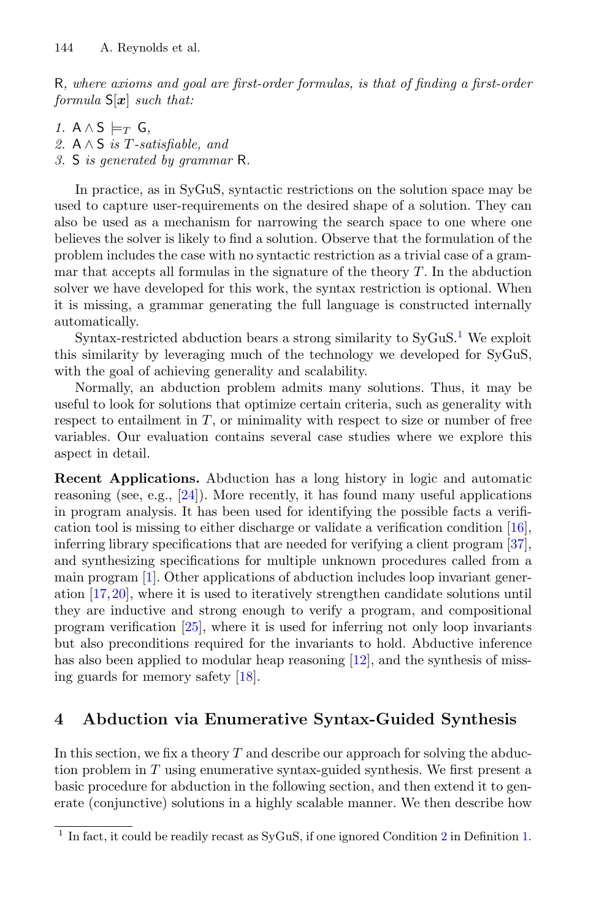R*, where axioms and goal are first-order formulas, is that of finding a first-order formula* S[*x*] *such that:*

<span id="page-3-2"></span>*1.* <sup>A</sup> <sup>∧</sup> <sup>S</sup> <sup>|</sup>=*<sup>T</sup>* <sup>G</sup>*,*

- *2.* <sup>A</sup> <sup>∧</sup> <sup>S</sup> *is* <sup>T</sup>*-satisfiable, and*
- *3.* S *is generated by grammar* R*.*

In practice, as in SyGuS, syntactic restrictions on the solution space may be used to capture user-requirements on the desired shape of a solution. They can also be used as a mechanism for narrowing the search space to one where one believes the solver is likely to find a solution. Observe that the formulation of the problem includes the case with no syntactic restriction as a trivial case of a grammar that accepts all formulas in the signature of the theory T. In the abduction solver we have developed for this work, the syntax restriction is optional. When it is missing, a grammar generating the full language is constructed internally automatically.

Syntax-restricted abduction bears a strong similarity to SyGuS.<sup>[1](#page-3-1)</sup> We exploit this similarity by leveraging much of the technology we developed for SyGuS, with the goal of achieving generality and scalability.

Normally, an abduction problem admits many solutions. Thus, it may be useful to look for solutions that optimize certain criteria, such as generality with respect to entailment in  $T$ , or minimality with respect to size or number of free variables. Our evaluation contains several case studies where we explore this aspect in detail.

**Recent Applications.** Abduction has a long history in logic and automatic reasoning (see, e.g., [\[24](#page-18-7)]). More recently, it has found many useful applications in program analysis. It has been used for identifying the possible facts a verification tool is missing to either discharge or validate a verification condition [\[16\]](#page-18-0), inferring library specifications that are needed for verifying a client program [\[37\]](#page-19-7), and synthesizing specifications for multiple unknown procedures called from a main program [\[1\]](#page-17-5). Other applications of abduction includes loop invariant generation [\[17](#page-18-1)[,20](#page-18-2)], where it is used to iteratively strengthen candidate solutions until they are inductive and strong enough to verify a program, and compositional program verification [\[25\]](#page-18-8), where it is used for inferring not only loop invariants but also preconditions required for the invariants to hold. Abductive inference has also been applied to modular heap reasoning [\[12\]](#page-18-9), and the synthesis of missing guards for memory safety [\[18](#page-18-10)].

# <span id="page-3-0"></span>**4 Abduction via Enumerative Syntax-Guided Synthesis**

In this section, we fix a theory  $T$  and describe our approach for solving the abduction problem in T using enumerative syntax-guided synthesis. We first present a basic procedure for abduction in the following section, and then extend it to generate (conjunctive) solutions in a highly scalable manner. We then describe how

<span id="page-3-1"></span><sup>&</sup>lt;sup>1</sup> In fact, it could be readily recast as SyGuS, if one ignored Condition [2](#page-3-2) in Definition [1.](#page-2-0)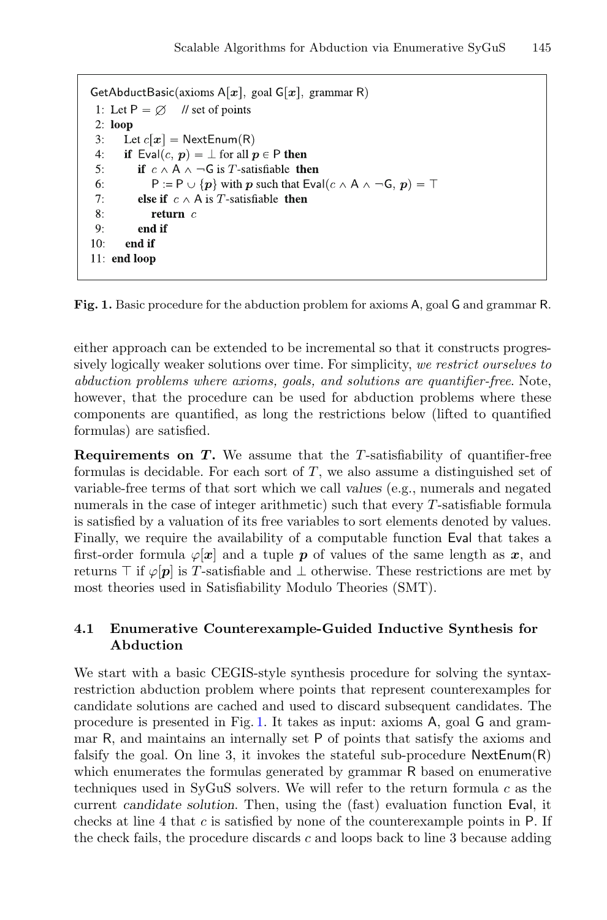```
GetAbductBasic(axioms A[x], goal G[x], grammar R)
 1: Let P = \emptyset\frac{1}{2} set of points
2: loop
3:Let c[x] = \text{NextEnum}(R)4:if Eval(c, p) = \perp for all p \in P then
5:if c \wedge A \wedge \neg G is T-satisfiable then
6:
              P := P \cup \{p\} with p such that Eval(c \land A \land \neg G, p) = Telse if c \wedge A is T-satisfiable then
7:8:
              return c9:end if
       end if
10:11: end loop
```
<span id="page-4-0"></span>**Fig. 1.** Basic procedure for the abduction problem for axioms <sup>A</sup>, goal <sup>G</sup> and grammar <sup>R</sup>.

either approach can be extended to be incremental so that it constructs progressively logically weaker solutions over time. For simplicity, *we restrict ourselves to abduction problems where axioms, goals, and solutions are quantifier-free*. Note, however, that the procedure can be used for abduction problems where these components are quantified, as long the restrictions below (lifted to quantified formulas) are satisfied.

**Requirements on** *T***.** We assume that the T-satisfiability of quantifier-free formulas is decidable. For each sort of  $T$ , we also assume a distinguished set of variable-free terms of that sort which we call *values* (e.g., numerals and negated numerals in the case of integer arithmetic) such that every T-satisfiable formula is satisfied by a valuation of its free variables to sort elements denoted by values. Finally, we require the availability of a computable function Eval that takes a first-order formula  $\varphi[\mathbf{x}]$  and a tuple **p** of values of the same length as **x**, and returns  $\top$  if  $\varphi[\mathbf{p}]$  is T-satisfiable and  $\bot$  otherwise. These restrictions are met by most theories used in Satisfiability Modulo Theories (SMT).

### **4.1 Enumerative Counterexample-Guided Inductive Synthesis for Abduction**

We start with a basic CEGIS-style synthesis procedure for solving the syntaxrestriction abduction problem where points that represent counterexamples for candidate solutions are cached and used to discard subsequent candidates. The procedure is presented in Fig. [1.](#page-4-0) It takes as input: axioms A, goal G and grammar R, and maintains an internally set P of points that satisfy the axioms and falsify the goal. On line 3, it invokes the stateful sub-procedure  $NextEnum(R)$ which enumerates the formulas generated by grammar R based on enumerative techniques used in SyGuS solvers. We will refer to the return formula  $c$  as the current *candidate solution*. Then, using the (fast) evaluation function Eval, it checks at line 4 that  $c$  is satisfied by none of the counterexample points in  $P$ . If the check fails, the procedure discards  $c$  and loops back to line 3 because adding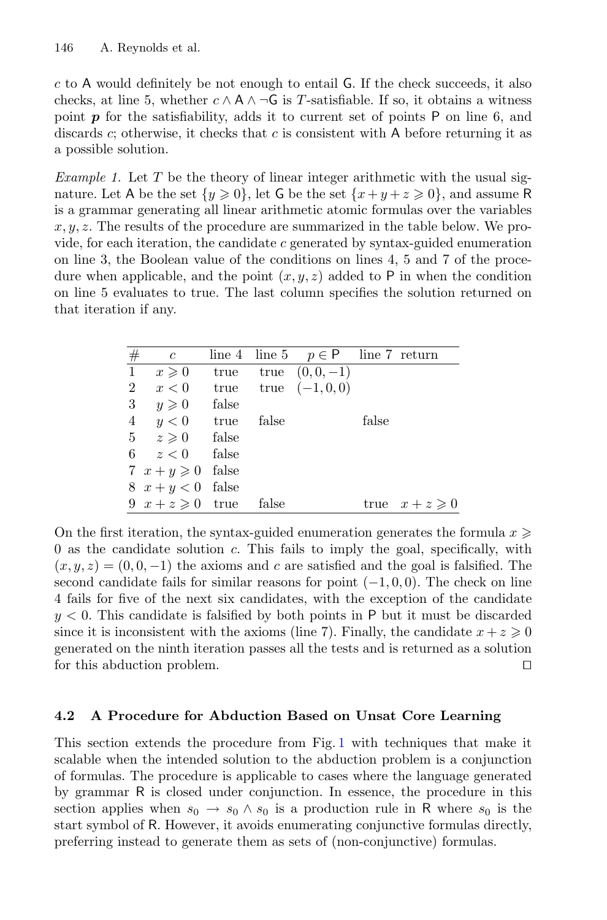c to A would definitely be not enough to entail G. If the check succeeds, it also checks, at line 5, whether  $c \wedge A \wedge \neg G$  is T-satisfiable. If so, it obtains a witness point  $p$  for the satisfiability, adds it to current set of points  $P$  on line 6, and discards c; otherwise, it checks that c is consistent with  $A$  before returning it as a possible solution.

<span id="page-5-0"></span>*Example 1.* Let T be the theory of linear integer arithmetic with the usual signature. Let A be the set  $\{y \ge 0\}$ , let G be the set  $\{x+y+z \ge 0\}$ , and assume R is a grammar generating all linear arithmetic atomic formulas over the variables  $x, y, z$ . The results of the procedure are summarized in the table below. We provide, for each iteration, the candidate c generated by syntax-guided enumeration on line 3, the Boolean value of the conditions on lines 4, 5 and 7 of the procedure when applicable, and the point  $(x, y, z)$  added to P in when the condition on line 5 evaluates to true. The last column specifies the solution returned on that iteration if any.

| #              | $\mathcal{C}$               |       |       | line 4 line 5 $p \in P$ line 7 return |       |                          |
|----------------|-----------------------------|-------|-------|---------------------------------------|-------|--------------------------|
| $\overline{1}$ |                             |       |       | $x \ge 0$ true true $(0,0,-1)$        |       |                          |
|                | 2<br>x<0                    |       |       | true true $(-1,0,0)$                  |       |                          |
| 3              | $y \geqslant 0$             | false |       |                                       |       |                          |
|                | 4 $y < 0$ true false        |       |       |                                       | false |                          |
|                | 5 $z \ge 0$ false           |       |       |                                       |       |                          |
|                | $6 \t z < 0$ false          |       |       |                                       |       |                          |
|                | 7 $x + y \geqslant 0$ false |       |       |                                       |       |                          |
|                | $8\ x+y<0$ false            |       |       |                                       |       |                          |
|                | 9 $x + z \geqslant 0$ true  |       | false |                                       |       | true $x + z \geqslant 0$ |

On the first iteration, the syntax-guided enumeration generates the formula  $x \geqslant$ 0 as the candidate solution c. This fails to imply the goal, specifically, with  $(x, y, z) = (0, 0, -1)$  the axioms and c are satisfied and the goal is falsified. The second candidate fails for similar reasons for point  $(-1, 0, 0)$ . The check on line 4 fails for five of the next six candidates, with the exception of the candidate  $y < 0$ . This candidate is falsified by both points in P but it must be discarded since it is inconsistent with the axioms (line 7). Finally, the candidate  $x + z \geq 0$ generated on the ninth iteration passes all the tests and is returned as a solution for this abduction problem.  $\Box$ 

### <span id="page-5-1"></span>**4.2 A Procedure for Abduction Based on Unsat Core Learning**

This section extends the procedure from Fig. [1](#page-4-0) with techniques that make it scalable when the intended solution to the abduction problem is a conjunction of formulas. The procedure is applicable to cases where the language generated by grammar R is closed under conjunction. In essence, the procedure in this section applies when  $s_0 \rightarrow s_0 \wedge s_0$  is a production rule in R where  $s_0$  is the start symbol of R. However, it avoids enumerating conjunctive formulas directly, preferring instead to generate them as sets of (non-conjunctive) formulas.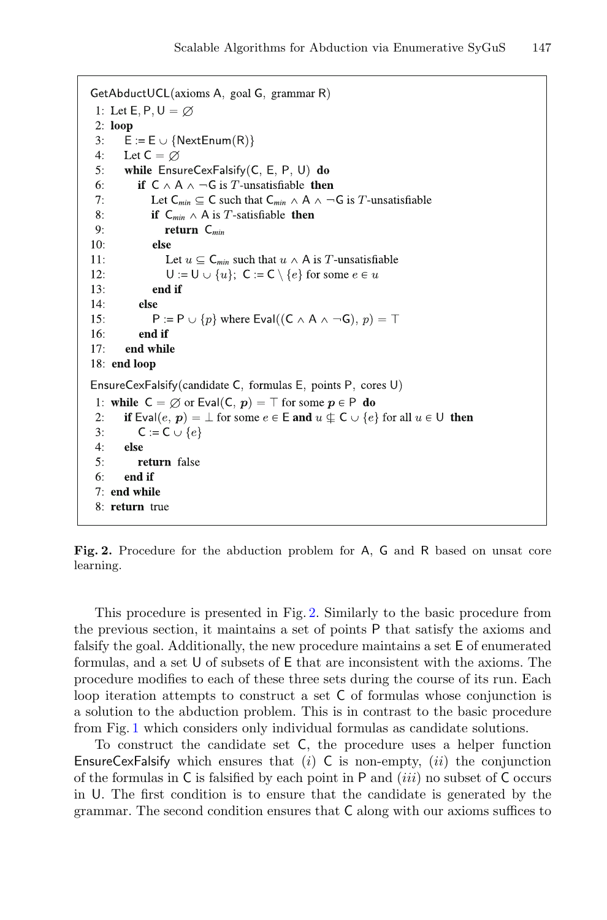```
GetAbductUCL(axioms A, goal G, grammar R)
 1: Let E, P, U = \emptyset2: loop
 3:E := E \cup \{NextEnum(R)\}\4:Let C = \emptysetwhile EnsureCexFalsify(C, E, P, U) do
5:6:
          if C \wedge A \wedge \neg G is T-unsatisfiable then
7:Let C_{min} \subseteq C such that C_{min} \wedge A \wedge \neg G is T-unsatisfiable
8:if C_{min} \wedge A is T-satisfiable then
9:return C_{min}10:else
11:Let u \subseteq C_{min} such that u \wedge A is T-unsatisfiable
12:U := U \cup \{u\}; C := C \setminus \{e\} for some e \in u13:end if
14:else
15:P := P \cup \{p\} where Eval((C \land A \land \neg G), p) = T
16:end if
17:end while
18: end loop
EnsureCexFalsify(candidate C, formulas E, points P, cores U)
 1: while C = \emptyset or Eval(C, p) = \top for some p \in P do
2:if Eval(e, p) = \perp for some e \in E and u \not\perp C \cup {e} for all u \in U then
3:C := C \cup \{e\}else
4:5:return false
       end if
6:
 7: end while
 8: return true
```
<span id="page-6-0"></span>**Fig. 2.** Procedure for the abduction problem for <sup>A</sup>, <sup>G</sup> and <sup>R</sup> based on unsat core learning.

This procedure is presented in Fig. [2.](#page-6-0) Similarly to the basic procedure from the previous section, it maintains a set of points P that satisfy the axioms and falsify the goal. Additionally, the new procedure maintains a set E of enumerated formulas, and a set U of subsets of E that are inconsistent with the axioms. The procedure modifies to each of these three sets during the course of its run. Each loop iteration attempts to construct a set C of formulas whose conjunction is a solution to the abduction problem. This is in contrast to the basic procedure from Fig. [1](#page-4-0) which considers only individual formulas as candidate solutions.

To construct the candidate set C, the procedure uses a helper function EnsureCexFalsify which ensures that  $(i)$  C is non-empty,  $(ii)$  the conjunction of the formulas in  $\mathsf C$  is falsified by each point in P and *(iii)* no subset of  $\mathsf C$  occurs in U. The first condition is to ensure that the candidate is generated by the grammar. The second condition ensures that C along with our axioms suffices to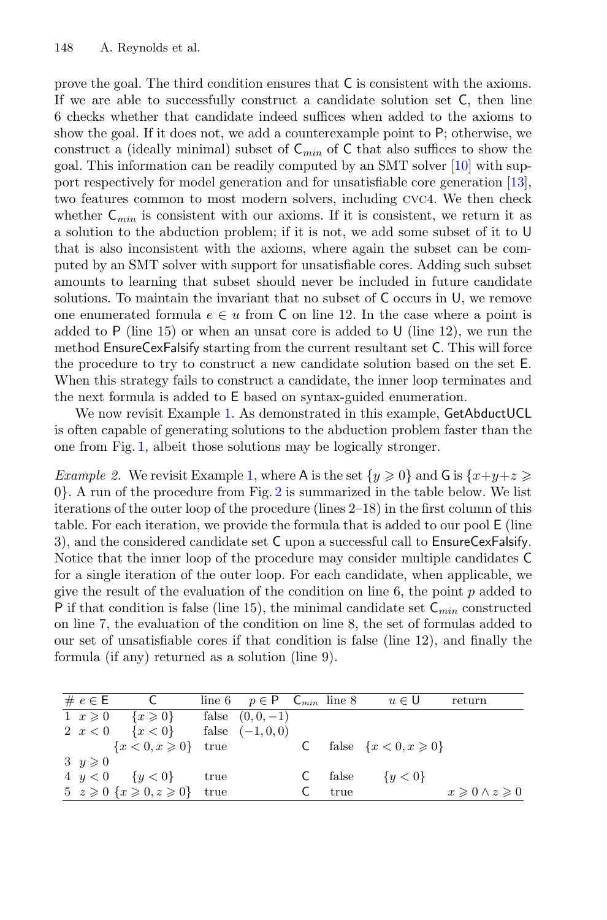prove the goal. The third condition ensures that C is consistent with the axioms. If we are able to successfully construct a candidate solution set C, then line 6 checks whether that candidate indeed suffices when added to the axioms to show the goal. If it does not, we add a counterexample point to P; otherwise, we construct a (ideally minimal) subset of  $C_{min}$  of C that also suffices to show the goal. This information can be readily computed by an SMT solver [\[10](#page-18-11)] with support respectively for model generation and for unsatisfiable core generation [\[13\]](#page-18-12), two features common to most modern solvers, including cvc4. We then check whether  $C_{min}$  is consistent with our axioms. If it is consistent, we return it as a solution to the abduction problem; if it is not, we add some subset of it to U that is also inconsistent with the axioms, where again the subset can be computed by an SMT solver with support for unsatisfiable cores. Adding such subset amounts to learning that subset should never be included in future candidate solutions. To maintain the invariant that no subset of C occurs in U, we remove one enumerated formula  $e \in u$  from C on line 12. In the case where a point is added to P (line 15) or when an unsat core is added to U (line 12), we run the method EnsureCexFalsify starting from the current resultant set C. This will force the procedure to try to construct a new candidate solution based on the set E. When this strategy fails to construct a candidate, the inner loop terminates and the next formula is added to E based on syntax-guided enumeration.

We now revisit Example [1.](#page-5-0) As demonstrated in this example, GetAbductUCL is often capable of generating solutions to the abduction problem faster than the one from Fig. [1,](#page-4-0) albeit those solutions may be logically stronger.

*Example 2.* We revisit Example [1,](#page-5-0) where A is the set  $\{y \ge 0\}$  and  $\overline{G}$  is  $\{x+y+z \ge 0\}$ 0}. A run of the procedure from Fig. [2](#page-6-0) is summarized in the table below. We list iterations of the outer loop of the procedure (lines 2–18) in the first column of this table. For each iteration, we provide the formula that is added to our pool E (line 3), and the considered candidate set C upon a successful call to EnsureCexFalsify. Notice that the inner loop of the procedure may consider multiple candidates C for a single iteration of the outer loop. For each candidate, when applicable, we give the result of the evaluation of the condition on line 6, the point  $p$  added to P if that condition is false (line 15), the minimal candidate set  $C_{min}$  constructed on line 7, the evaluation of the condition on line 8, the set of formulas added to our set of unsatisfiable cores if that condition is false (line 12), and finally the formula (if any) returned as a solution (line 9).

| # $e \in E$          | $\mathbb{C}$                                              |      | line 6 $p \in \mathsf{P}$ C <sub>min</sub> line 8 |         | $u \in U$                   | return                               |
|----------------------|-----------------------------------------------------------|------|---------------------------------------------------|---------|-----------------------------|--------------------------------------|
|                      | $1 \t x \ge 0$ $\{x \ge 0\}$ false $(0, 0, -1)$           |      |                                                   |         |                             |                                      |
|                      | 2 $x < 0$ { $x < 0$ }                                     |      | false $(-1,0,0)$                                  |         |                             |                                      |
|                      | $\{x < 0, x \geq 0\}$ true                                |      |                                                   |         | false $\{x < 0, x \geq 0\}$ |                                      |
| $3 \, y \geqslant 0$ |                                                           |      |                                                   |         |                             |                                      |
|                      | 4 $y < 0$ { $y < 0$ }                                     | true |                                                   | C false | $\{y < 0\}$                 |                                      |
|                      | 5 $z \geqslant 0$ $\{x \geqslant 0, z \geqslant 0\}$ true |      |                                                   | true    |                             | $x \geqslant 0 \wedge z \geqslant 0$ |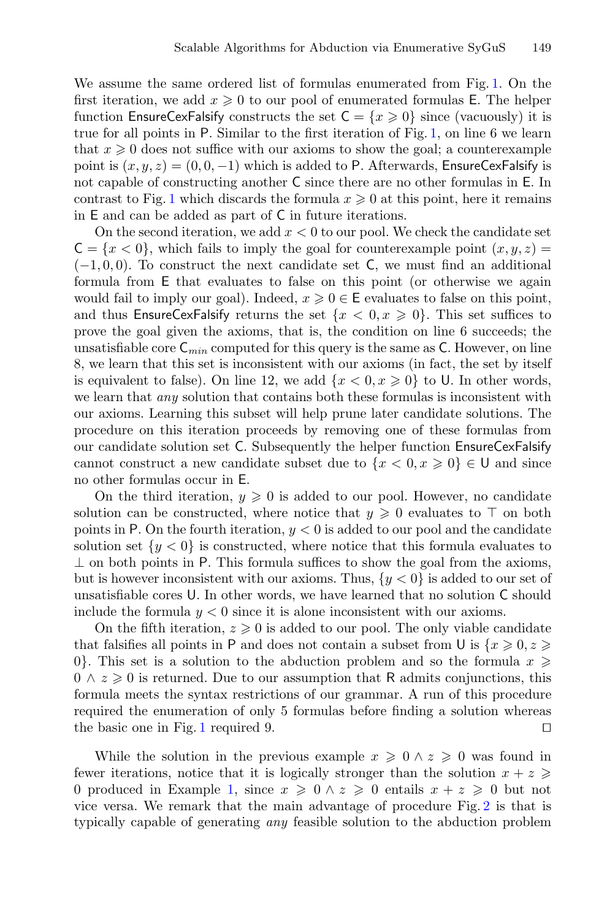We assume the same ordered list of formulas enumerated from Fig. [1.](#page-4-0) On the first iteration, we add  $x \geqslant 0$  to our pool of enumerated formulas E. The helper function EnsureCexFalsify constructs the set  $C = \{x \ge 0\}$  since (vacuously) it is true for all points in P. Similar to the first iteration of Fig. [1,](#page-4-0) on line 6 we learn that  $x \geq 0$  does not suffice with our axioms to show the goal; a counterexample point is  $(x, y, z) = (0, 0, -1)$  which is added to P. Afterwards, EnsureCexFalsify is not capable of constructing another C since there are no other formulas in E. In contrast to Fig. [1](#page-4-0) which discards the formula  $x \geq 0$  at this point, here it remains in E and can be added as part of C in future iterations.

On the second iteration, we add  $x < 0$  to our pool. We check the candidate set  $C = \{x < 0\}$ , which fails to imply the goal for counterexample point  $(x, y, z)$  $(-1, 0, 0)$ . To construct the next candidate set C, we must find an additional formula from E that evaluates to false on this point (or otherwise we again would fail to imply our goal). Indeed,  $x \ge 0 \in E$  evaluates to false on this point, and thus EnsureCexFalsify returns the set  $\{x < 0, x \ge 0\}$ . This set suffices to prove the goal given the axioms, that is, the condition on line 6 succeeds; the unsatisfiable core  $C_{min}$  computed for this query is the same as  $C$ . However, on line 8, we learn that this set is inconsistent with our axioms (in fact, the set by itself is equivalent to false). On line 12, we add  $\{x < 0, x \ge 0\}$  to U. In other words, we learn that *any* solution that contains both these formulas is inconsistent with our axioms. Learning this subset will help prune later candidate solutions. The procedure on this iteration proceeds by removing one of these formulas from our candidate solution set C. Subsequently the helper function EnsureCexFalsify cannot construct a new candidate subset due to  $\{x < 0, x \ge 0\} \in \mathbb{U}$  and since no other formulas occur in E.

On the third iteration,  $y \ge 0$  is added to our pool. However, no candidate solution can be constructed, where notice that  $y \geq 0$  evaluates to  $\top$  on both points in P. On the fourth iteration,  $y < 0$  is added to our pool and the candidate solution set  $\{y < 0\}$  is constructed, where notice that this formula evaluates to  $\perp$  on both points in P. This formula suffices to show the goal from the axioms, but is however inconsistent with our axioms. Thus,  $\{y < 0\}$  is added to our set of unsatisfiable cores U. In other words, we have learned that no solution C should include the formula  $y < 0$  since it is alone inconsistent with our axioms.

On the fifth iteration,  $z \geqslant 0$  is added to our pool. The only viable candidate that falsifies all points in P and does not contain a subset from U is  $\{x \geq 0, z \geq 0\}$ 0. This set is a solution to the abduction problem and so the formula  $x \geq 0$  $0 \wedge z \geq 0$  is returned. Due to our assumption that R admits conjunctions, this formula meets the syntax restrictions of our grammar. A run of this procedure required the enumeration of only 5 formulas before finding a solution whereas the basic one in Fig. [1](#page-4-0) required 9.  $\Box$ 

While the solution in the previous example  $x \geqslant 0 \land z \geqslant 0$  was found in fewer iterations, notice that it is logically stronger than the solution  $x + z \geqslant$ 0 produced in Example [1,](#page-5-0) since  $x \ge 0 \land z \ge 0$  entails  $x + z \ge 0$  but not vice versa. We remark that the main advantage of procedure Fig. [2](#page-6-0) is that is typically capable of generating *any* feasible solution to the abduction problem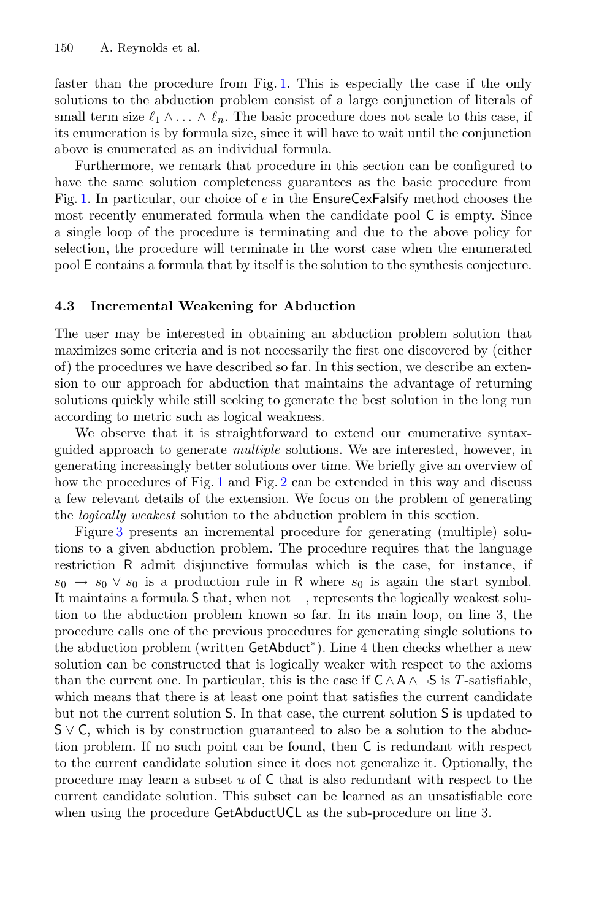faster than the procedure from Fig. [1.](#page-4-0) This is especially the case if the only solutions to the abduction problem consist of a large conjunction of literals of small term size  $\ell_1 \wedge \ldots \wedge \ell_n$ . The basic procedure does not scale to this case, if its enumeration is by formula size, since it will have to wait until the conjunction above is enumerated as an individual formula.

Furthermore, we remark that procedure in this section can be configured to have the same solution completeness guarantees as the basic procedure from Fig. [1.](#page-4-0) In particular, our choice of  $e$  in the **EnsureCexFalsify** method chooses the most recently enumerated formula when the candidate pool C is empty. Since a single loop of the procedure is terminating and due to the above policy for selection, the procedure will terminate in the worst case when the enumerated pool E contains a formula that by itself is the solution to the synthesis conjecture.

#### <span id="page-9-0"></span>**4.3 Incremental Weakening for Abduction**

The user may be interested in obtaining an abduction problem solution that maximizes some criteria and is not necessarily the first one discovered by (either of) the procedures we have described so far. In this section, we describe an extension to our approach for abduction that maintains the advantage of returning solutions quickly while still seeking to generate the best solution in the long run according to metric such as logical weakness.

We observe that it is straightforward to extend our enumerative syntaxguided approach to generate *multiple* solutions. We are interested, however, in generating increasingly better solutions over time. We briefly give an overview of how the procedures of Fig. [1](#page-4-0) and Fig. [2](#page-6-0) can be extended in this way and discuss a few relevant details of the extension. We focus on the problem of generating the *logically weakest* solution to the abduction problem in this section.

Figure [3](#page-10-0) presents an incremental procedure for generating (multiple) solutions to a given abduction problem. The procedure requires that the language restriction R admit disjunctive formulas which is the case, for instance, if  $s_0 \rightarrow s_0 \vee s_0$  is a production rule in R where  $s_0$  is again the start symbol. It maintains a formula <sup>S</sup> that, when not <sup>⊥</sup>, represents the logically weakest solution to the abduction problem known so far. In its main loop, on line 3, the procedure calls one of the previous procedures for generating single solutions to the abduction problem (written GetAbduct∗). Line 4 then checks whether a new solution can be constructed that is logically weaker with respect to the axioms than the current one. In particular, this is the case if  $C \wedge A \wedge \neg S$  is T-satisfiable, which means that there is at least one point that satisfies the current candidate but not the current solution S. In that case, the current solution S is updated to <sup>S</sup> <sup>∨</sup> <sup>C</sup>, which is by construction guaranteed to also be a solution to the abduction problem. If no such point can be found, then C is redundant with respect to the current candidate solution since it does not generalize it. Optionally, the procedure may learn a subset  $u$  of  $C$  that is also redundant with respect to the current candidate solution. This subset can be learned as an unsatisfiable core when using the procedure GetAbductUCL as the sub-procedure on line 3.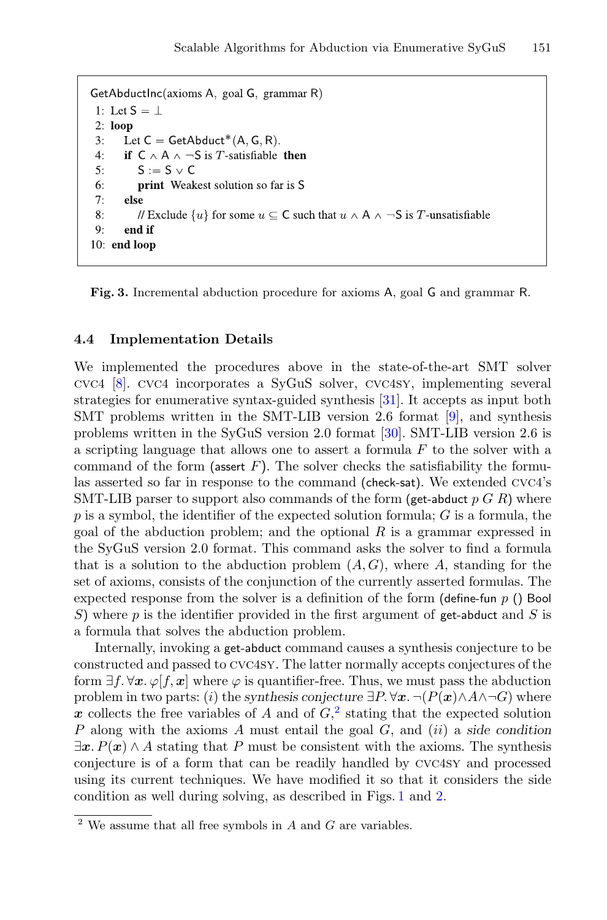```
GetAbductInc(axioms A, goal G, grammar R)
 1: Let S = \perp2: loop
       Let C = \text{GetAbduct}^*(A, G, R).
 3:if C \wedge A \wedge \neg S is T-satisfiable then
4:S := S \vee C5:print Weakest solution so far is S
6:7:else
8:// Exclude \{u\} for some u \subseteq C such that u \wedge A \wedge \neg S is T-unsatisfiable
9:end if
10: end loop
```
<span id="page-10-0"></span>**Fig. 3.** Incremental abduction procedure for axioms <sup>A</sup>, goal <sup>G</sup> and grammar <sup>R</sup>.

#### <span id="page-10-2"></span>**4.4 Implementation Details**

We implemented the procedures above in the state-of-the-art SMT solver cvc4 [\[8\]](#page-17-1). cvc4 incorporates a SyGuS solver, cvc4sy, implementing several strategies for enumerative syntax-guided synthesis [\[31](#page-19-2)]. It accepts as input both SMT problems written in the SMT-LIB version 2.6 format [\[9](#page-17-6)], and synthesis problems written in the SyGuS version 2.0 format [\[30](#page-19-8)]. SMT-LIB version 2.6 is a scripting language that allows one to assert a formula  $F$  to the solver with a command of the form (assert  $F$ ). The solver checks the satisfiability the formulas asserted so far in response to the command (check-sat). We extended cvc4's SMT-LIB parser to support also commands of the form (get-abduct  $p\ G\ R$ ) where  $p$  is a symbol, the identifier of the expected solution formula;  $G$  is a formula, the goal of the abduction problem; and the optional  $R$  is a grammar expressed in the SyGuS version 2.0 format. This command asks the solver to find a formula that is a solution to the abduction problem  $(A, G)$ , where A, standing for the set of axioms, consists of the conjunction of the currently asserted formulas. The expected response from the solver is a definition of the form (define-fun  $p$ ) Bool S) where  $p$  is the identifier provided in the first argument of get-abduct and  $S$  is a formula that solves the abduction problem.

Internally, invoking a get-abduct command causes a synthesis conjecture to be constructed and passed to cvc4sy. The latter normally accepts conjectures of the form  $\exists f. \forall x. \varphi[f, x]$  where  $\varphi$  is quantifier-free. Thus, we must pass the abduction problem in two parts: (i) the *synthesis conjecture*  $\exists P. \forall x. \neg (P(x) \land A \land \neg G)$  where x collects the free variables of A and of  $G<sub>1</sub><sup>2</sup>$  $G<sub>1</sub><sup>2</sup>$  $G<sub>1</sub><sup>2</sup>$  stating that the expected solution P along with the axioms A must entail the goal G, and (ii) a *side condition*  $\exists x. P(x) \wedge A$  stating that P must be consistent with the axioms. The synthesis conjecture is of a form that can be readily handled by cvc4sy and processed using its current techniques. We have modified it so that it considers the side condition as well during solving, as described in Figs. [1](#page-4-0) and [2.](#page-6-0)

<span id="page-10-1"></span> $2$  We assume that all free symbols in A and G are variables.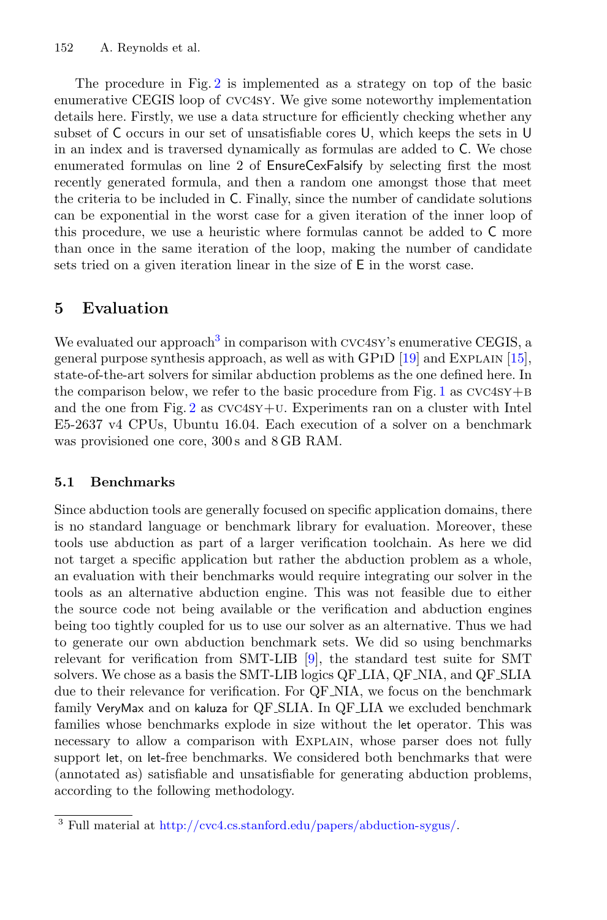The procedure in Fig. [2](#page-6-0) is implemented as a strategy on top of the basic enumerative CEGIS loop of cvc4sy. We give some noteworthy implementation details here. Firstly, we use a data structure for efficiently checking whether any subset of C occurs in our set of unsatisfiable cores U, which keeps the sets in U in an index and is traversed dynamically as formulas are added to C. We chose enumerated formulas on line 2 of EnsureCexFalsify by selecting first the most recently generated formula, and then a random one amongst those that meet the criteria to be included in C. Finally, since the number of candidate solutions can be exponential in the worst case for a given iteration of the inner loop of this procedure, we use a heuristic where formulas cannot be added to C more than once in the same iteration of the loop, making the number of candidate sets tried on a given iteration linear in the size of E in the worst case.

# <span id="page-11-2"></span>**5 Evaluation**

We evaluated our approach<sup>[3](#page-11-0)</sup> in comparison with CVC4SY's enumerative CEGIS, a general purpose synthesis approach, as well as with  $GPID$  [\[19](#page-18-3)] and EXPLAIN [\[15\]](#page-18-4), state-of-the-art solvers for similar abduction problems as the one defined here. In the comparison below, we refer to the basic procedure from Fig. [1](#page-4-0) as  $CVC4SY + B$ and the one from Fig.  $2$  as  $CVC4SY+U$ . Experiments ran on a cluster with Intel E5-2637 v4 CPUs, Ubuntu 16.04. Each execution of a solver on a benchmark was provisioned one core,  $300 s$  and  $8 GB$  RAM.

# <span id="page-11-1"></span>**5.1 Benchmarks**

Since abduction tools are generally focused on specific application domains, there is no standard language or benchmark library for evaluation. Moreover, these tools use abduction as part of a larger verification toolchain. As here we did not target a specific application but rather the abduction problem as a whole, an evaluation with their benchmarks would require integrating our solver in the tools as an alternative abduction engine. This was not feasible due to either the source code not being available or the verification and abduction engines being too tightly coupled for us to use our solver as an alternative. Thus we had to generate our own abduction benchmark sets. We did so using benchmarks relevant for verification from SMT-LIB [\[9](#page-17-6)], the standard test suite for SMT solvers. We chose as a basis the SMT-LIB logics QF LIA, QF NIA, and QF SLIA due to their relevance for verification. For QF NIA, we focus on the benchmark family VeryMax and on kaluza for QF SLIA. In QF LIA we excluded benchmark families whose benchmarks explode in size without the let operator. This was necessary to allow a comparison with Explain, whose parser does not fully support let, on let-free benchmarks. We considered both benchmarks that were (annotated as) satisfiable and unsatisfiable for generating abduction problems, according to the following methodology.

<span id="page-11-0"></span><sup>3</sup> Full material at [http://cvc4.cs.stanford.edu/papers/abduction-sygus/.](http://cvc4.cs.stanford.edu/papers/abduction-sygus/)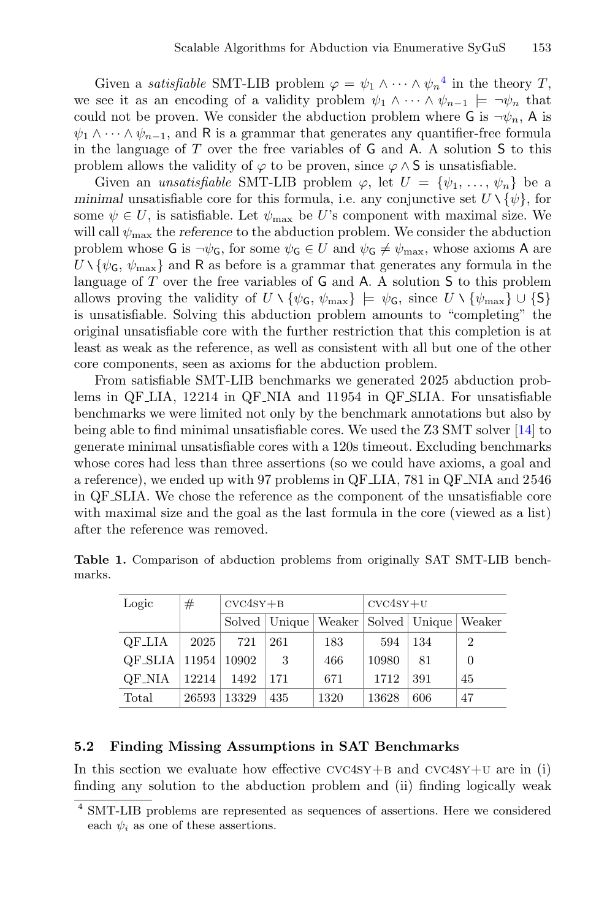Given a *satisfiable* SMT-LIB problem  $\varphi = \psi_1 \wedge \cdots \wedge \psi_n^4$  $\varphi = \psi_1 \wedge \cdots \wedge \psi_n^4$  in the theory T, we see it as an encoding of a validity problem  $\psi_1 \wedge \cdots \wedge \psi_{n-1} \models \neg \psi_n$  that could not be proven. We consider the abduction problem where G is  $\neg \psi_n$ , A is  $\psi_1 \wedge \cdots \wedge \psi_{n-1}$ , and R is a grammar that generates any quantifier-free formula in the language of  $T$  over the free variables of  $G$  and  $A$ . A solution  $S$  to this problem allows the validity of  $\varphi$  to be proven, since  $\varphi \wedge S$  is unsatisfiable.

Given an *unsatisfiable* SMT-LIB problem  $\varphi$ , let  $U = {\psi_1, \dots, \psi_n}$  be a *minimal* unsatisfiable core for this formula, i.e. any conjunctive set  $U \setminus {\psi}$ , for some  $\psi \in U$ , is satisfiable. Let  $\psi_{\text{max}}$  be U's component with maximal size. We will call  $\psi_{\text{max}}$  the *reference* to the abduction problem. We consider the abduction problem whose G is  $\neg \psi_{\mathsf{G}}$ , for some  $\psi_{\mathsf{G}} \in U$  and  $\psi_{\mathsf{G}} \neq \psi_{\max}$ , whose axioms A are  $U \setminus {\psi_{\mathsf{G}}}, \psi_{\max}$  and R as before is a grammar that generates any formula in the language of  $T$  over the free variables of  $G$  and  $A$ . A solution  $S$  to this problem allows proving the validity of  $U \setminus {\psi_{\mathsf{G}}}, \psi_{\max} \models \psi_{\mathsf{G}},$  since  $U \setminus {\psi_{\max}} \cup {\mathsf{S}}$ is unsatisfiable. Solving this abduction problem amounts to "completing" the original unsatisfiable core with the further restriction that this completion is at least as weak as the reference, as well as consistent with all but one of the other core components, seen as axioms for the abduction problem.

From satisfiable SMT-LIB benchmarks we generated 2025 abduction problems in QF LIA, 12214 in QF NIA and 11954 in QF SLIA. For unsatisfiable benchmarks we were limited not only by the benchmark annotations but also by being able to find minimal unsatisfiable cores. We used the Z3 SMT solver [\[14](#page-18-13)] to generate minimal unsatisfiable cores with a 120s timeout. Excluding benchmarks whose cores had less than three assertions (so we could have axioms, a goal and a reference), we ended up with 97 problems in QF LIA, 781 in QF NIA and 2546 in QF SLIA. We chose the reference as the component of the unsatisfiable core with maximal size and the goal as the last formula in the core (viewed as a list) after the reference was removed.

<span id="page-12-1"></span>

| Logic      | #             | $CVC4SY + B$ |     |                                            | $\text{cyc4sY+U}$ |     |                |
|------------|---------------|--------------|-----|--------------------------------------------|-------------------|-----|----------------|
|            |               |              |     | Solved   Unique   Weaker   Solved   Unique |                   |     | Weaker         |
| QF_LIA     | 2025          | 721          | 261 | 183                                        | 594               | 134 | $\overline{2}$ |
| $QF\_SLIA$ | 11954   10902 |              | 3   | 466                                        | 10980             | 81  | $\Omega$       |
| QF_NIA     | 12214         | 1492         | 171 | 671                                        | 1712              | 391 | 45             |
| Total      | 26593         | 13329        | 435 | 1320                                       | 13628             | 606 | 47             |

**Table 1.** Comparison of abduction problems from originally SAT SMT-LIB benchmarks.

#### <span id="page-12-2"></span>**5.2 Finding Missing Assumptions in SAT Benchmarks**

In this section we evaluate how effective  $CVC4SY + B$  and  $CVC4SY + U$  are in (i) finding any solution to the abduction problem and (ii) finding logically weak

<span id="page-12-0"></span><sup>4</sup> SMT-LIB problems are represented as sequences of assertions. Here we considered each  $\psi_i$  as one of these assertions.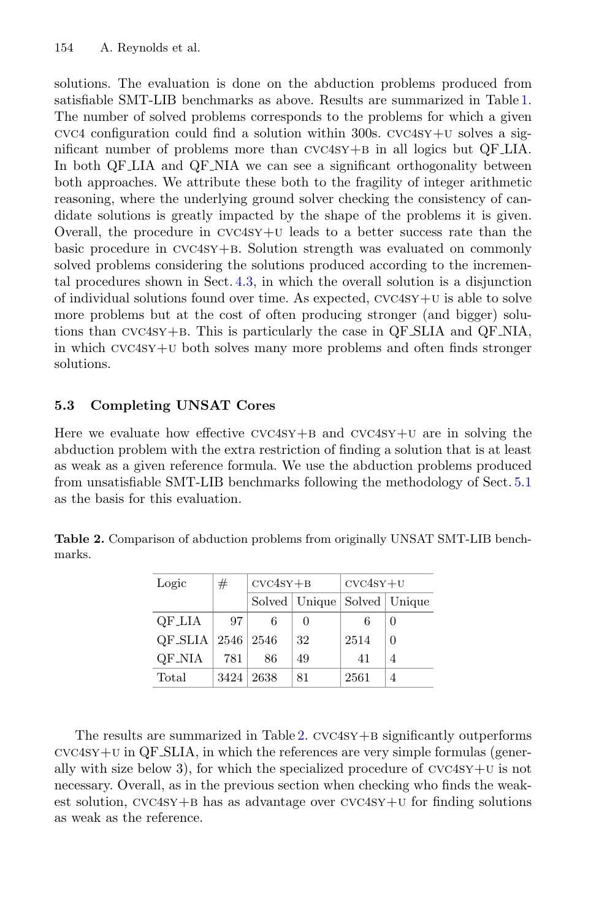solutions. The evaluation is done on the abduction problems produced from satisfiable SMT-LIB benchmarks as above. Results are summarized in Table [1.](#page-12-1) The number of solved problems corresponds to the problems for which a given  $\rm cvC4$  configuration could find a solution within 300s.  $\rm cvC4$ s $\rm vy+U$  solves a significant number of problems more than  $CVC4SY + B$  in all logics but  $QFLIA$ . In both QF LIA and QF NIA we can see a significant orthogonality between both approaches. We attribute these both to the fragility of integer arithmetic reasoning, where the underlying ground solver checking the consistency of candidate solutions is greatly impacted by the shape of the problems it is given. Overall, the procedure in  $CVC4SY+U$  leads to a better success rate than the basic procedure in cvc4sy+b. Solution strength was evaluated on commonly solved problems considering the solutions produced according to the incremental procedures shown in Sect. [4.3,](#page-9-0) in which the overall solution is a disjunction of individual solutions found over time. As expected,  $CVC4SY+U$  is able to solve more problems but at the cost of often producing stronger (and bigger) solutions than  $CVC4SY + B$ . This is particularly the case in  $QF\_SLIA$  and  $QF\_NIA$ , in which cvc4sy+u both solves many more problems and often finds stronger solutions.

# **5.3 Completing UNSAT Cores**

Here we evaluate how effective  $CVC4SY + B$  and  $CVC4SY + U$  are in solving the abduction problem with the extra restriction of finding a solution that is at least as weak as a given reference formula. We use the abduction problems produced from unsatisfiable SMT-LIB benchmarks following the methodology of Sect. [5.1](#page-11-1) as the basis for this evaluation.

<span id="page-13-0"></span>

|        | Table 2. Comparison of abduction problems from originally UNSAT SMT-LIB bench- |  |  |  |
|--------|--------------------------------------------------------------------------------|--|--|--|
| marks. |                                                                                |  |  |  |

| Logic   | #           | $CVC4SY + B$ |                                   | $CVC4SY + U$ |   |  |
|---------|-------------|--------------|-----------------------------------|--------------|---|--|
|         |             |              | Solved   Unique   Solved   Unique |              |   |  |
| QF_LIA  | 97          | 6            | 0                                 | 6            | 0 |  |
| QF_SLIA | 2546   2546 |              | 32                                | 2514         | 0 |  |
| QF_NIA  | 781         | 86           | 49                                | 41           | 4 |  |
| Total   | 3424        | 2638         | 81                                | 2561         | 4 |  |

The results are summarized in Table [2.](#page-13-0)  $\text{CVC4SY}+\text{B}$  significantly outperforms  $\text{cvc4sY+U}$  in  $\text{QF\_SLIA}$ , in which the references are very simple formulas (generally with size below 3), for which the specialized procedure of  $CVC4SY+U$  is not necessary. Overall, as in the previous section when checking who finds the weakest solution,  $CVC4SY + B$  has as advantage over  $CVC4SY + U$  for finding solutions as weak as the reference.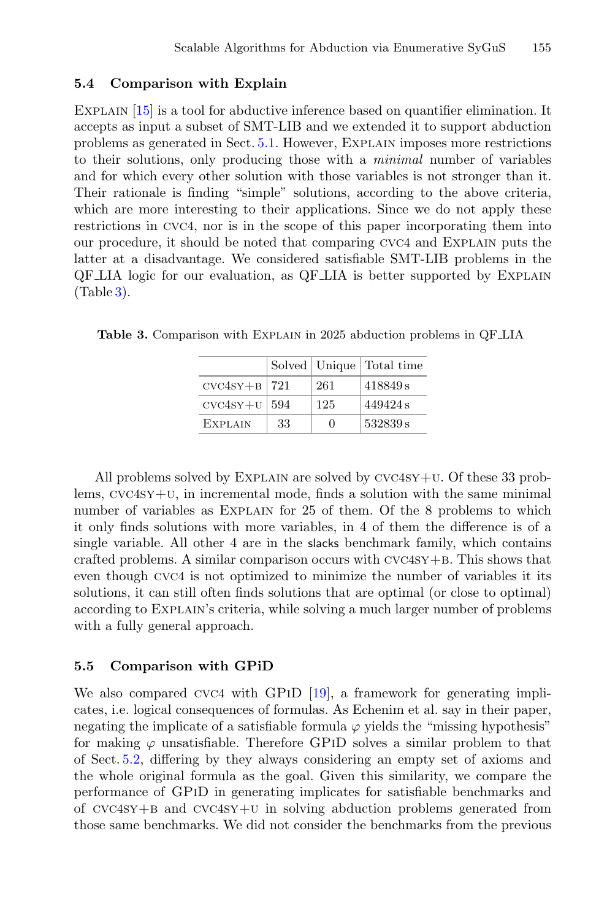### **5.4 Comparison with Explain**

EXPLAIN [\[15\]](#page-18-4) is a tool for abductive inference based on quantifier elimination. It accepts as input a subset of SMT-LIB and we extended it to support abduction problems as generated in Sect. [5.1.](#page-11-1) However, Explain imposes more restrictions to their solutions, only producing those with a *minimal* number of variables and for which every other solution with those variables is not stronger than it. Their rationale is finding "simple" solutions, according to the above criteria, which are more interesting to their applications. Since we do not apply these restrictions in cvc4, nor is in the scope of this paper incorporating them into our procedure, it should be noted that comparing cvc4 and Explain puts the latter at a disadvantage. We considered satisfiable SMT-LIB problems in the QF LIA logic for our evaluation, as QF LIA is better supported by Explain  $(Table 3).$  $(Table 3).$  $(Table 3).$ 

<span id="page-14-0"></span>

|                    |    |          | Solved   Unique   Total time |
|--------------------|----|----------|------------------------------|
| $CVC4SY+B$   $721$ |    | 261      | 418849 <sub>s</sub>          |
| $CVC4SY+U$ 594     |    | 125      | 449424 s                     |
| EXPLAIN            | 33 | $^{(1)}$ | 532839 s                     |

**Table 3.** Comparison with Explain in 2025 abduction problems in QF LIA

All problems solved by EXPLAIN are solved by  $CVC4SY+U$ . Of these 33 problems, cvc4sy+u, in incremental mode, finds a solution with the same minimal number of variables as EXPLAIN for 25 of them. Of the 8 problems to which it only finds solutions with more variables, in 4 of them the difference is of a single variable. All other 4 are in the slacks benchmark family, which contains crafted problems. A similar comparison occurs with  $\text{CVC4SY}+\text{B}$ . This shows that even though cvc4 is not optimized to minimize the number of variables it its solutions, it can still often finds solutions that are optimal (or close to optimal) according to Explain's criteria, while solving a much larger number of problems with a fully general approach.

### **5.5 Comparison with GPiD**

We also compared CVC4 with GPID [\[19](#page-18-3)], a framework for generating implicates, i.e. logical consequences of formulas. As Echenim et al. say in their paper, negating the implicate of a satisfiable formula  $\varphi$  yields the "missing hypothesis" for making  $\varphi$  unsatisfiable. Therefore GPID solves a similar problem to that of Sect. [5.2,](#page-12-2) differing by they always considering an empty set of axioms and the whole original formula as the goal. Given this similarity, we compare the performance of GPiD in generating implicates for satisfiable benchmarks and of cvc4sy+b and cvc4sy+u in solving abduction problems generated from those same benchmarks. We did not consider the benchmarks from the previous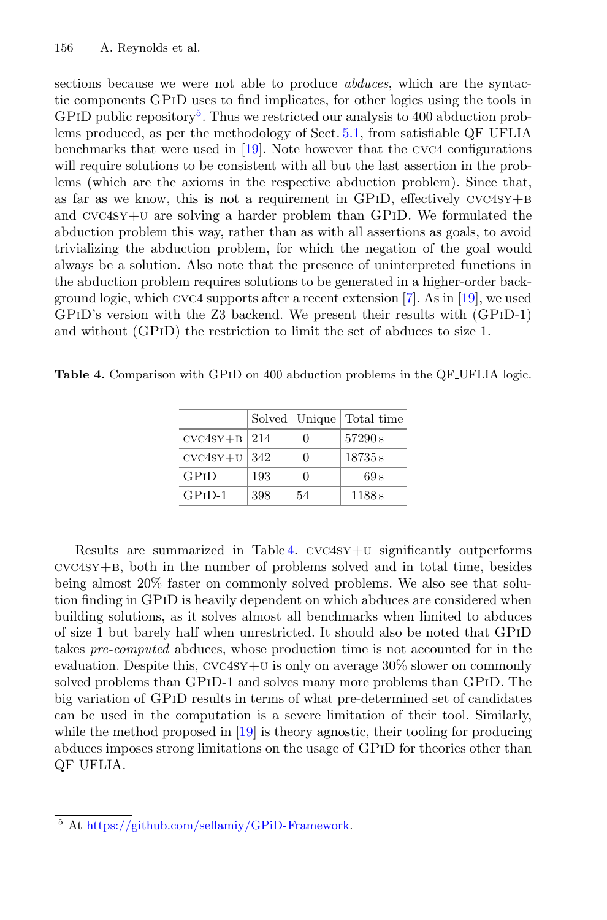sections because we were not able to produce *abduces*, which are the syntactic components GPiD uses to find implicates, for other logics using the tools in GPID public repository<sup>[5](#page-15-0)</sup>. Thus we restricted our analysis to 400 abduction problems produced, as per the methodology of Sect. [5.1,](#page-11-1) from satisfiable QF UFLIA benchmarks that were used in  $[19]$  $[19]$ . Note however that the CVC4 configurations will require solutions to be consistent with all but the last assertion in the problems (which are the axioms in the respective abduction problem). Since that, as far as we know, this is not a requirement in  $\text{GPID}$ , effectively  $\text{CVC4SY}+\text{B}$ and  $CVC4SY+U$  are solving a harder problem than GPID. We formulated the abduction problem this way, rather than as with all assertions as goals, to avoid trivializing the abduction problem, for which the negation of the goal would always be a solution. Also note that the presence of uninterpreted functions in the abduction problem requires solutions to be generated in a higher-order background logic, which cvc4 supports after a recent extension [\[7](#page-17-7)]. As in [\[19](#page-18-3)], we used GPiD's version with the Z3 backend. We present their results with (GPiD-1) and without (GPiD) the restriction to limit the set of abduces to size 1.

<span id="page-15-1"></span>**Table 4.** Comparison with GPiD on 400 abduction problems in the QF UFLIA logic.

|                   |     | Solved   Unique | Total time        |
|-------------------|-----|-----------------|-------------------|
| $CVC4SY+B$   214  |     | $\mathbf{0}$    | 57290 s           |
| $CVC4SY+U$        | 342 | $\mathbf{0}$    | 18735 s           |
| GP <sub>I</sub> D | 193 | $\mathbf{0}$    | 69 s              |
| $GPID-1$          | 398 | 54              | 1188 <sub>s</sub> |

Results are summarized in Table [4.](#page-15-1)  $CVC4SY+U$  significantly outperforms  $\text{cvc4sY+B}$ , both in the number of problems solved and in total time, besides being almost 20% faster on commonly solved problems. We also see that solution finding in GPiD is heavily dependent on which abduces are considered when building solutions, as it solves almost all benchmarks when limited to abduces of size 1 but barely half when unrestricted. It should also be noted that GPiD takes *pre-computed* abduces, whose production time is not accounted for in the evaluation. Despite this,  $\text{cyc4s} + \text{U}$  is only on average 30% slower on commonly solved problems than GPiD-1 and solves many more problems than GPiD. The big variation of GPiD results in terms of what pre-determined set of candidates can be used in the computation is a severe limitation of their tool. Similarly, while the method proposed in [\[19](#page-18-3)] is theory agnostic, their tooling for producing abduces imposes strong limitations on the usage of GPiD for theories other than QF UFLIA.

<span id="page-15-0"></span><sup>5</sup> At [https://github.com/sellamiy/GPiD-Framework.](https://github.com/sellamiy/GPiD-Framework)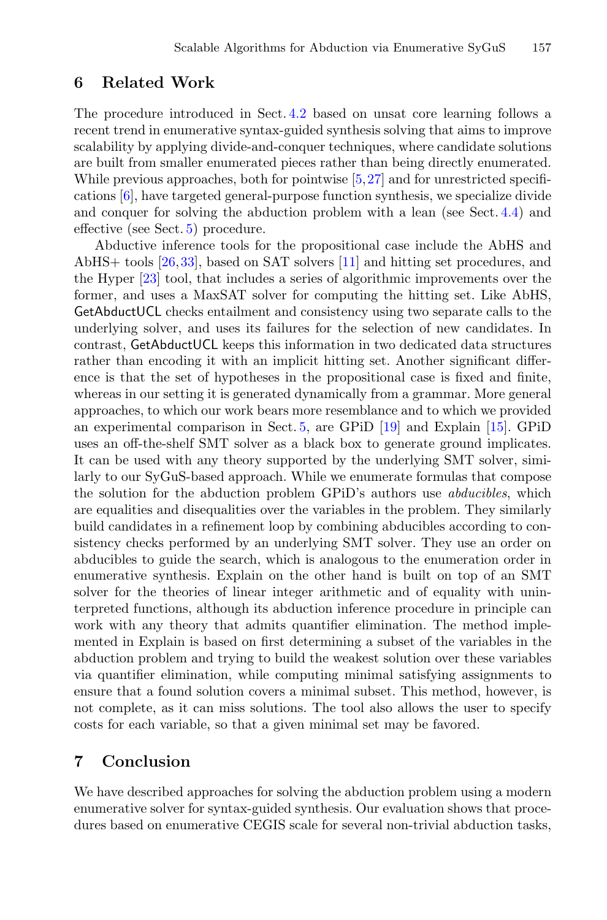### **6 Related Work**

The procedure introduced in Sect. [4.2](#page-5-1) based on unsat core learning follows a recent trend in enumerative syntax-guided synthesis solving that aims to improve scalability by applying divide-and-conquer techniques, where candidate solutions are built from smaller enumerated pieces rather than being directly enumerated. While previous approaches, both for pointwise [\[5](#page-17-3)[,27](#page-19-4)] and for unrestricted specifications [\[6](#page-17-8)], have targeted general-purpose function synthesis, we specialize divide and conquer for solving the abduction problem with a lean (see Sect. [4.4\)](#page-10-2) and effective (see Sect. [5\)](#page-11-2) procedure.

Abductive inference tools for the propositional case include the AbHS and AbHS+ tools [\[26](#page-18-14),[33\]](#page-19-9), based on SAT solvers [\[11\]](#page-18-15) and hitting set procedures, and the Hyper [\[23](#page-18-16)] tool, that includes a series of algorithmic improvements over the former, and uses a MaxSAT solver for computing the hitting set. Like AbHS, GetAbductUCL checks entailment and consistency using two separate calls to the underlying solver, and uses its failures for the selection of new candidates. In contrast, GetAbductUCL keeps this information in two dedicated data structures rather than encoding it with an implicit hitting set. Another significant difference is that the set of hypotheses in the propositional case is fixed and finite, whereas in our setting it is generated dynamically from a grammar. More general approaches, to which our work bears more resemblance and to which we provided an experimental comparison in Sect. [5,](#page-11-2) are GPiD [\[19\]](#page-18-3) and Explain [\[15\]](#page-18-4). GPiD uses an off-the-shelf SMT solver as a black box to generate ground implicates. It can be used with any theory supported by the underlying SMT solver, similarly to our SyGuS-based approach. While we enumerate formulas that compose the solution for the abduction problem GPiD's authors use *abducibles*, which are equalities and disequalities over the variables in the problem. They similarly build candidates in a refinement loop by combining abducibles according to consistency checks performed by an underlying SMT solver. They use an order on abducibles to guide the search, which is analogous to the enumeration order in enumerative synthesis. Explain on the other hand is built on top of an SMT solver for the theories of linear integer arithmetic and of equality with uninterpreted functions, although its abduction inference procedure in principle can work with any theory that admits quantifier elimination. The method implemented in Explain is based on first determining a subset of the variables in the abduction problem and trying to build the weakest solution over these variables via quantifier elimination, while computing minimal satisfying assignments to ensure that a found solution covers a minimal subset. This method, however, is not complete, as it can miss solutions. The tool also allows the user to specify costs for each variable, so that a given minimal set may be favored.

# **7 Conclusion**

We have described approaches for solving the abduction problem using a modern enumerative solver for syntax-guided synthesis. Our evaluation shows that procedures based on enumerative CEGIS scale for several non-trivial abduction tasks,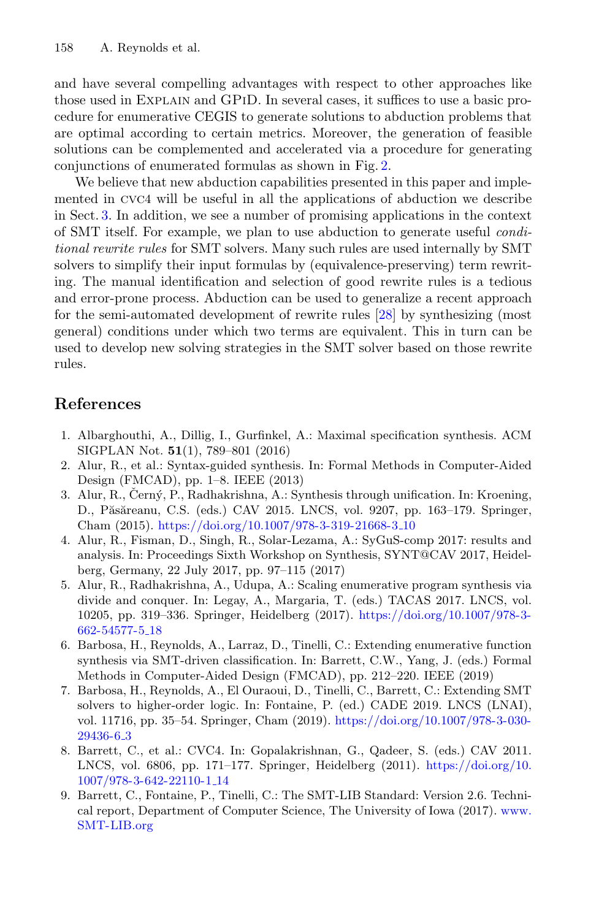and have several compelling advantages with respect to other approaches like those used in Explain and GPiD. In several cases, it suffices to use a basic procedure for enumerative CEGIS to generate solutions to abduction problems that are optimal according to certain metrics. Moreover, the generation of feasible solutions can be complemented and accelerated via a procedure for generating conjunctions of enumerated formulas as shown in Fig. [2.](#page-6-0)

We believe that new abduction capabilities presented in this paper and implemented in cvc4 will be useful in all the applications of abduction we describe in Sect. [3.](#page-2-1) In addition, we see a number of promising applications in the context of SMT itself. For example, we plan to use abduction to generate useful *conditional rewrite rules* for SMT solvers. Many such rules are used internally by SMT solvers to simplify their input formulas by (equivalence-preserving) term rewriting. The manual identification and selection of good rewrite rules is a tedious and error-prone process. Abduction can be used to generalize a recent approach for the semi-automated development of rewrite rules [\[28](#page-19-10)] by synthesizing (most general) conditions under which two terms are equivalent. This in turn can be used to develop new solving strategies in the SMT solver based on those rewrite rules.

# **References**

- <span id="page-17-5"></span>1. Albarghouthi, A., Dillig, I., Gurfinkel, A.: Maximal specification synthesis. ACM
- <span id="page-17-2"></span>SIGPLAN Not. **51**(1), 789–801 (2016) 2. Alur, R., et al.: Syntax-guided synthesis. In: Formal Methods in Computer-Aided Design (FMCAD), pp. 1–8. IEEE (2013)
- <span id="page-17-4"></span>3. Alur, R., Černý, P., Radhakrishna, A.: Synthesis through unification. In: Kroening, D., Păsăreanu, C.S. (eds.) CAV 2015. LNCS, vol. 9207, pp. 163–179. Springer, Cham (2015). [https://doi.org/10.1007/978-3-319-21668-3](https://doi.org/10.1007/978-3-319-21668-3_10) 10
- <span id="page-17-0"></span>4. Alur, R., Fisman, D., Singh, R., Solar-Lezama, A.: SyGuS-comp 2017: results and analysis. In: Proceedings Sixth Workshop on Synthesis, SYNT@CAV 2017, Heidelberg, Germany, 22 July 2017, pp. 97–115 (2017)
- <span id="page-17-3"></span>5. Alur, R., Radhakrishna, A., Udupa, A.: Scaling enumerative program synthesis via divide and conquer. In: Legay, A., Margaria, T. (eds.) TACAS 2017. LNCS, vol. 10205, pp. 319–336. Springer, Heidelberg (2017). [https://doi.org/10.1007/978-3-](https://doi.org/10.1007/978-3-662-54577-5_18) [662-54577-5](https://doi.org/10.1007/978-3-662-54577-5_18) 18
- <span id="page-17-8"></span>6. Barbosa, H., Reynolds, A., Larraz, D., Tinelli, C.: Extending enumerative function synthesis via SMT-driven classification. In: Barrett, C.W., Yang, J. (eds.) Formal Methods in Computer-Aided Design (FMCAD), pp. 212–220. IEEE (2019)
- <span id="page-17-7"></span>7. Barbosa, H., Reynolds, A., El Ouraoui, D., Tinelli, C., Barrett, C.: Extending SMT solvers to higher-order logic. In: Fontaine, P. (ed.) CADE 2019. LNCS (LNAI), vol. 11716, pp. 35–54. Springer, Cham (2019). [https://doi.org/10.1007/978-3-030-](https://doi.org/10.1007/978-3-030-29436-6_3) [29436-6](https://doi.org/10.1007/978-3-030-29436-6_3).3
- <span id="page-17-1"></span>8. Barrett, C., et al.: CVC4. In: Gopalakrishnan, G., Qadeer, S. (eds.) CAV 2011. LNCS, vol. 6806, pp. 171–177. Springer, Heidelberg (2011). [https://doi.org/10.](https://doi.org/10.1007/978-3-642-22110-1_14) [1007/978-3-642-22110-1](https://doi.org/10.1007/978-3-642-22110-1_14) 14
- <span id="page-17-6"></span>9. Barrett, C., Fontaine, P., Tinelli, C.: The SMT-LIB Standard: Version 2.6. Technical report, Department of Computer Science, The University of Iowa (2017). [www.](www.SMT-LIB.org) [SMT-LIB.org](www.SMT-LIB.org)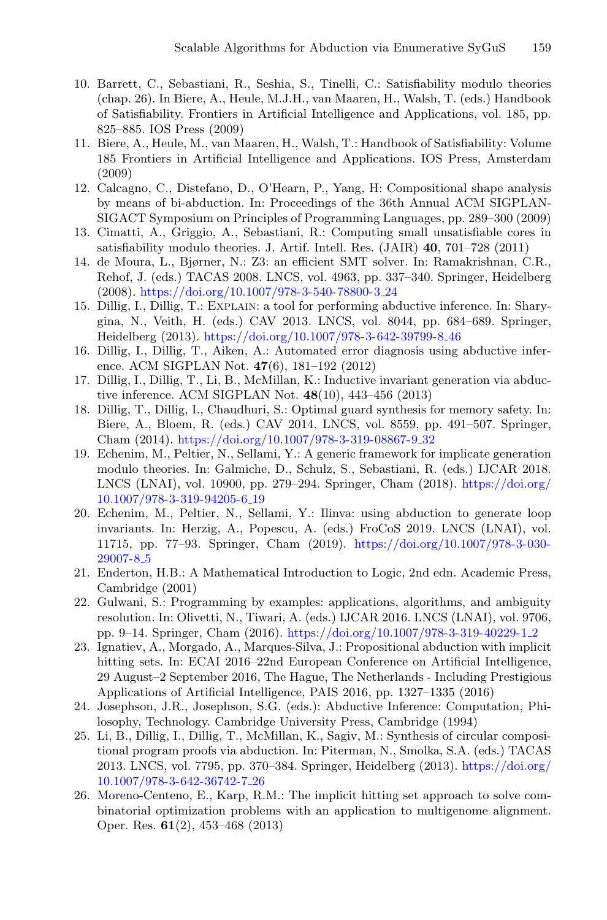- <span id="page-18-11"></span>10. Barrett, C., Sebastiani, R., Seshia, S., Tinelli, C.: Satisfiability modulo theories (chap. 26). In Biere, A., Heule, M.J.H., van Maaren, H., Walsh, T. (eds.) Handbook of Satisfiability. Frontiers in Artificial Intelligence and Applications, vol. 185, pp. 825–885. IOS Press (2009)
- <span id="page-18-15"></span>11. Biere, A., Heule, M., van Maaren, H., Walsh, T.: Handbook of Satisfiability: Volume 185 Frontiers in Artificial Intelligence and Applications. IOS Press, Amsterdam (2009)
- <span id="page-18-9"></span>12. Calcagno, C., Distefano, D., O'Hearn, P., Yang, H: Compositional shape analysis by means of bi-abduction. In: Proceedings of the 36th Annual ACM SIGPLAN-SIGACT Symposium on Principles of Programming Languages, pp. 289–300 (2009)
- <span id="page-18-12"></span>13. Cimatti, A., Griggio, A., Sebastiani, R.: Computing small unsatisfiable cores in satisfiability modulo theories. J. Artif. Intell. Res. (JAIR) **40**, 701–728 (2011)
- <span id="page-18-13"></span>14. de Moura, L., Bjørner, N.: Z3: an efficient SMT solver. In: Ramakrishnan, C.R., Rehof, J. (eds.) TACAS 2008. LNCS, vol. 4963, pp. 337–340. Springer, Heidelberg (2008). [https://doi.org/10.1007/978-3-540-78800-3](https://doi.org/10.1007/978-3-540-78800-3_24) 24
- <span id="page-18-4"></span>15. Dillig, I., Dillig, T.: Explain: a tool for performing abductive inference. In: Sharygina, N., Veith, H. (eds.) CAV 2013. LNCS, vol. 8044, pp. 684–689. Springer, Heidelberg (2013). [https://doi.org/10.1007/978-3-642-39799-8](https://doi.org/10.1007/978-3-642-39799-8_46) 46
- <span id="page-18-0"></span>16. Dillig, I., Dillig, T., Aiken, A.: Automated error diagnosis using abductive inference. ACM SIGPLAN Not. **47**(6), 181–192 (2012)
- <span id="page-18-1"></span>17. Dillig, I., Dillig, T., Li, B., McMillan, K.: Inductive invariant generation via abductive inference. ACM SIGPLAN Not. **48**(10), 443–456 (2013)
- <span id="page-18-10"></span>18. Dillig, T., Dillig, I., Chaudhuri, S.: Optimal guard synthesis for memory safety. In: Biere, A., Bloem, R. (eds.) CAV 2014. LNCS, vol. 8559, pp. 491–507. Springer, Cham (2014). [https://doi.org/10.1007/978-3-319-08867-9](https://doi.org/10.1007/978-3-319-08867-9_32) 32
- <span id="page-18-3"></span>19. Echenim, M., Peltier, N., Sellami, Y.: A generic framework for implicate generation modulo theories. In: Galmiche, D., Schulz, S., Sebastiani, R. (eds.) IJCAR 2018. LNCS (LNAI), vol. 10900, pp. 279–294. Springer, Cham (2018). [https://doi.org/](https://doi.org/10.1007/978-3-319-94205-6_19) [10.1007/978-3-319-94205-6](https://doi.org/10.1007/978-3-319-94205-6_19) 19
- <span id="page-18-2"></span>20. Echenim, M., Peltier, N., Sellami, Y.: Ilinva: using abduction to generate loop invariants. In: Herzig, A., Popescu, A. (eds.) FroCoS 2019. LNCS (LNAI), vol. 11715, pp. 77–93. Springer, Cham (2019). [https://doi.org/10.1007/978-3-030-](https://doi.org/10.1007/978-3-030-29007-8_5) [29007-8](https://doi.org/10.1007/978-3-030-29007-8_5) 5
- <span id="page-18-6"></span>21. Enderton, H.B.: A Mathematical Introduction to Logic, 2nd edn. Academic Press, Cambridge (2001)
- <span id="page-18-5"></span>22. Gulwani, S.: Programming by examples: applications, algorithms, and ambiguity resolution. In: Olivetti, N., Tiwari, A. (eds.) IJCAR 2016. LNCS (LNAI), vol. 9706, pp. 9–14. Springer, Cham (2016). [https://doi.org/10.1007/978-3-319-40229-1](https://doi.org/10.1007/978-3-319-40229-1_2) 2
- <span id="page-18-16"></span>23. Ignatiev, A., Morgado, A., Marques-Silva, J.: Propositional abduction with implicit hitting sets. In: ECAI 2016–22nd European Conference on Artificial Intelligence, 29 August–2 September 2016, The Hague, The Netherlands - Including Prestigious Applications of Artificial Intelligence, PAIS 2016, pp. 1327–1335 (2016)
- <span id="page-18-7"></span>24. Josephson, J.R., Josephson, S.G. (eds.): Abductive Inference: Computation, Philosophy, Technology. Cambridge University Press, Cambridge (1994)
- <span id="page-18-8"></span>25. Li, B., Dillig, I., Dillig, T., McMillan, K., Sagiv, M.: Synthesis of circular compositional program proofs via abduction. In: Piterman, N., Smolka, S.A. (eds.) TACAS 2013. LNCS, vol. 7795, pp. 370–384. Springer, Heidelberg (2013). [https://doi.org/](https://doi.org/10.1007/978-3-642-36742-7_26) [10.1007/978-3-642-36742-7](https://doi.org/10.1007/978-3-642-36742-7_26) 26
- <span id="page-18-14"></span>26. Moreno-Centeno, E., Karp, R.M.: The implicit hitting set approach to solve combinatorial optimization problems with an application to multigenome alignment. Oper. Res. **61**(2), 453–468 (2013)